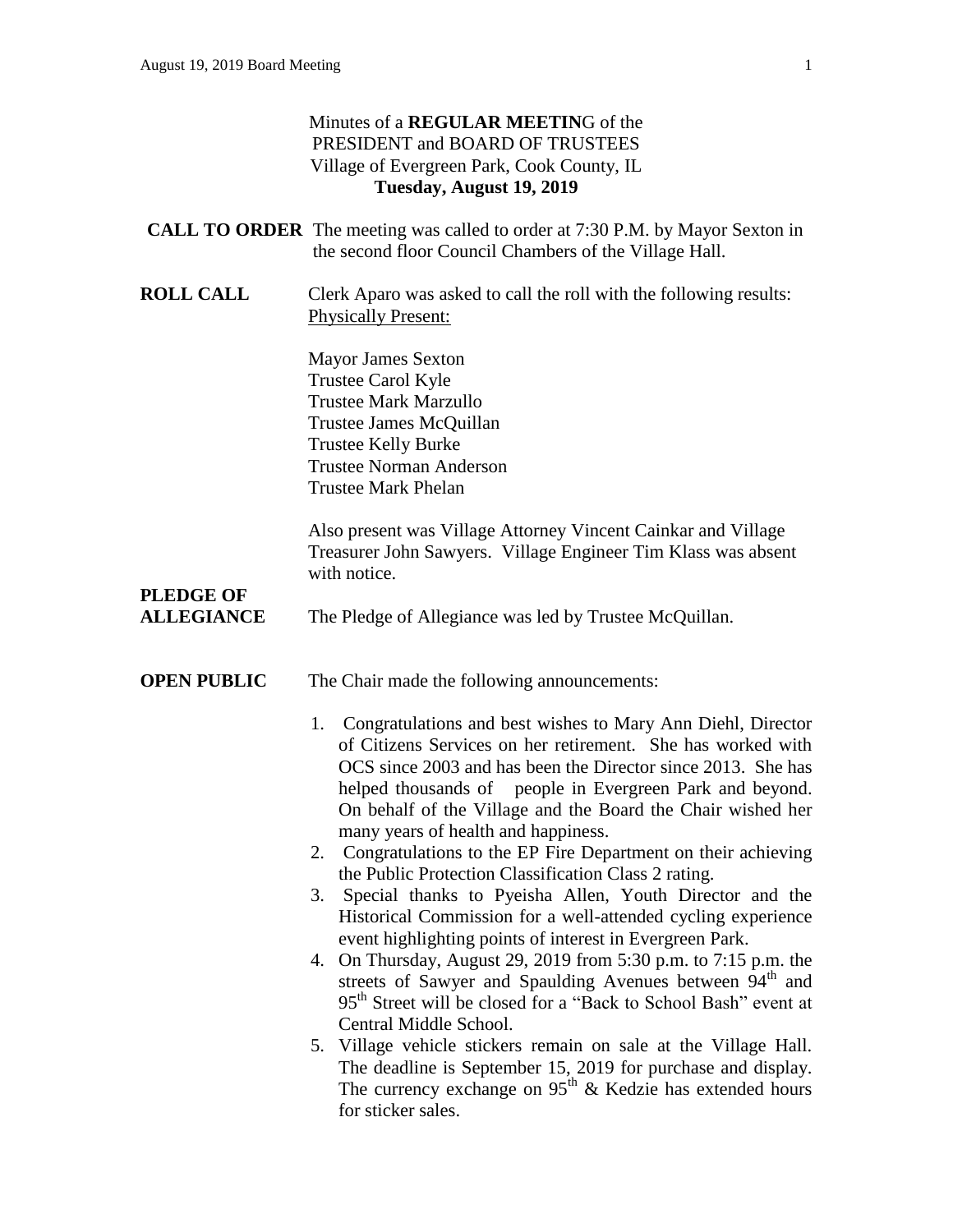### Minutes of a **REGULAR MEETIN**G of the PRESIDENT and BOARD OF TRUSTEES Village of Evergreen Park, Cook County, IL **Tuesday, August 19, 2019 CALL TO ORDER** The meeting was called to order at 7:30 P.M. by Mayor Sexton in the second floor Council Chambers of the Village Hall. **ROLL CALL** Clerk Aparo was asked to call the roll with the following results: Physically Present: Mayor James Sexton Trustee Carol Kyle Trustee Mark Marzullo Trustee James McQuillan Trustee Kelly Burke Trustee Norman Anderson Trustee Mark Phelan Also present was Village Attorney Vincent Cainkar and Village Treasurer John Sawyers. Village Engineer Tim Klass was absent with notice. **PLEDGE OF ALLEGIANCE** The Pledge of Allegiance was led by Trustee McQuillan. **OPEN PUBLIC** The Chair made the following announcements: 1. Congratulations and best wishes to Mary Ann Diehl, Director of Citizens Services on her retirement. She has worked with OCS since 2003 and has been the Director since 2013. She has helped thousands of people in Evergreen Park and beyond. On behalf of the Village and the Board the Chair wished her many years of health and happiness. 2. Congratulations to the EP Fire Department on their achieving the Public Protection Classification Class 2 rating. 3. Special thanks to Pyeisha Allen, Youth Director and the Historical Commission for a well-attended cycling experience event highlighting points of interest in Evergreen Park. 4. On Thursday, August 29, 2019 from 5:30 p.m. to 7:15 p.m. the streets of Sawyer and Spaulding Avenues between  $94<sup>th</sup>$  and 95<sup>th</sup> Street will be closed for a "Back to School Bash" event at Central Middle School. 5. Village vehicle stickers remain on sale at the Village Hall. The deadline is September 15, 2019 for purchase and display. The currency exchange on  $95<sup>th</sup>$  & Kedzie has extended hours for sticker sales.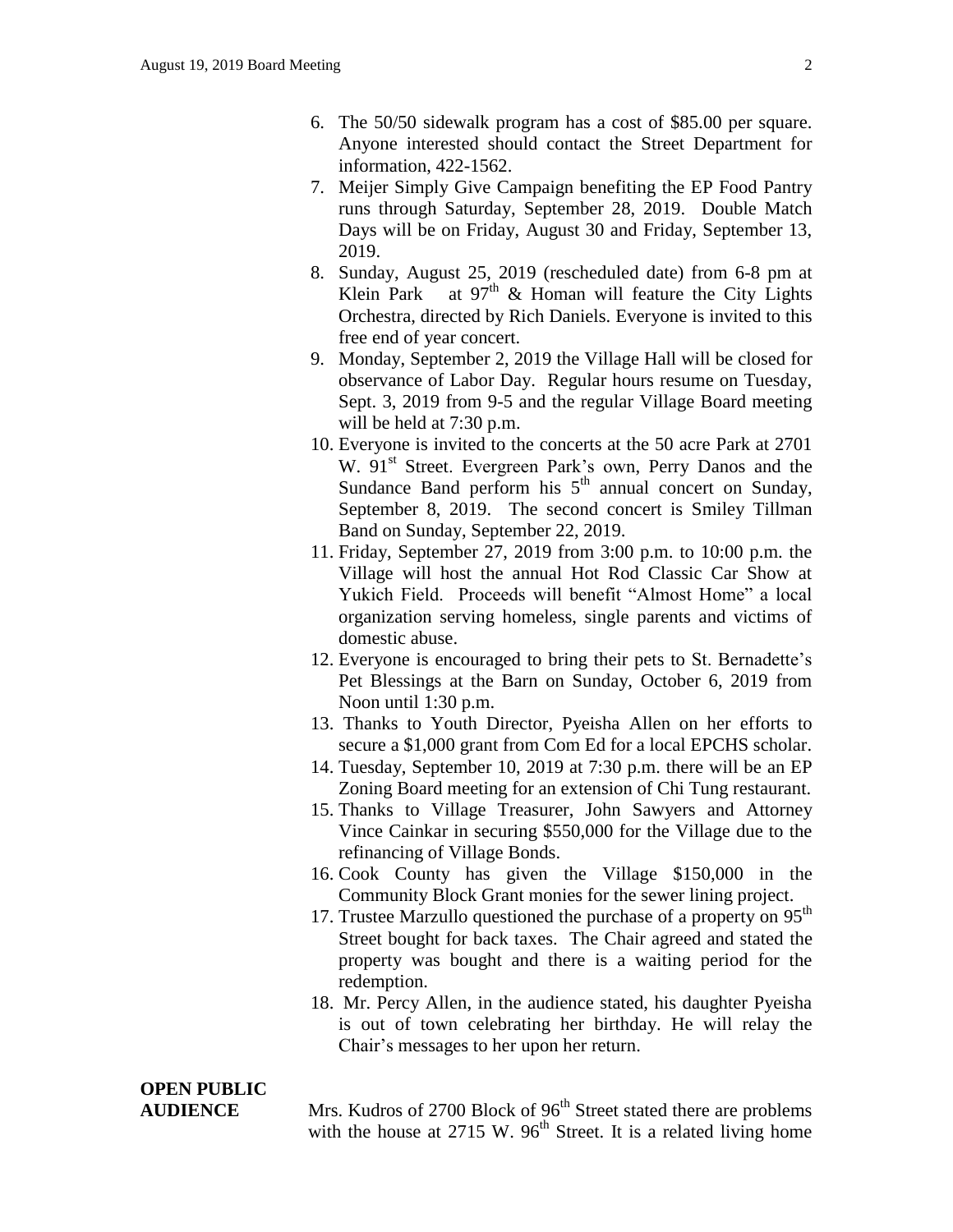- 6. The 50/50 sidewalk program has a cost of \$85.00 per square. Anyone interested should contact the Street Department for information, 422-1562.
- 7. Meijer Simply Give Campaign benefiting the EP Food Pantry runs through Saturday, September 28, 2019. Double Match Days will be on Friday, August 30 and Friday, September 13, 2019.
- 8. Sunday, August 25, 2019 (rescheduled date) from 6-8 pm at Klein Park at  $97<sup>th</sup>$  & Homan will feature the City Lights Orchestra, directed by Rich Daniels. Everyone is invited to this free end of year concert.
- 9. Monday, September 2, 2019 the Village Hall will be closed for observance of Labor Day. Regular hours resume on Tuesday, Sept. 3, 2019 from 9-5 and the regular Village Board meeting will be held at 7:30 p.m.
- 10. Everyone is invited to the concerts at the 50 acre Park at 2701 W. 91<sup>st</sup> Street. Evergreen Park's own, Perry Danos and the Sundance Band perform his  $5<sup>th</sup>$  annual concert on Sunday, September 8, 2019. The second concert is Smiley Tillman Band on Sunday, September 22, 2019.
- 11. Friday, September 27, 2019 from 3:00 p.m. to 10:00 p.m. the Village will host the annual Hot Rod Classic Car Show at Yukich Field. Proceeds will benefit "Almost Home" a local organization serving homeless, single parents and victims of domestic abuse.
- 12. Everyone is encouraged to bring their pets to St. Bernadette's Pet Blessings at the Barn on Sunday, October 6, 2019 from Noon until 1:30 p.m.
- 13. Thanks to Youth Director, Pyeisha Allen on her efforts to secure a \$1,000 grant from Com Ed for a local EPCHS scholar.
- 14. Tuesday, September 10, 2019 at 7:30 p.m. there will be an EP Zoning Board meeting for an extension of Chi Tung restaurant.
- 15. Thanks to Village Treasurer, John Sawyers and Attorney Vince Cainkar in securing \$550,000 for the Village due to the refinancing of Village Bonds.
- 16. Cook County has given the Village \$150,000 in the Community Block Grant monies for the sewer lining project.
- 17. Trustee Marzullo questioned the purchase of a property on 95<sup>th</sup> Street bought for back taxes. The Chair agreed and stated the property was bought and there is a waiting period for the redemption.
- 18. Mr. Percy Allen, in the audience stated, his daughter Pyeisha is out of town celebrating her birthday. He will relay the Chair's messages to her upon her return.

# **OPEN PUBLIC**

**AUDIENCE** Mrs. Kudros of 2700 Block of 96<sup>th</sup> Street stated there are problems with the house at 2715 W.  $96<sup>th</sup>$  Street. It is a related living home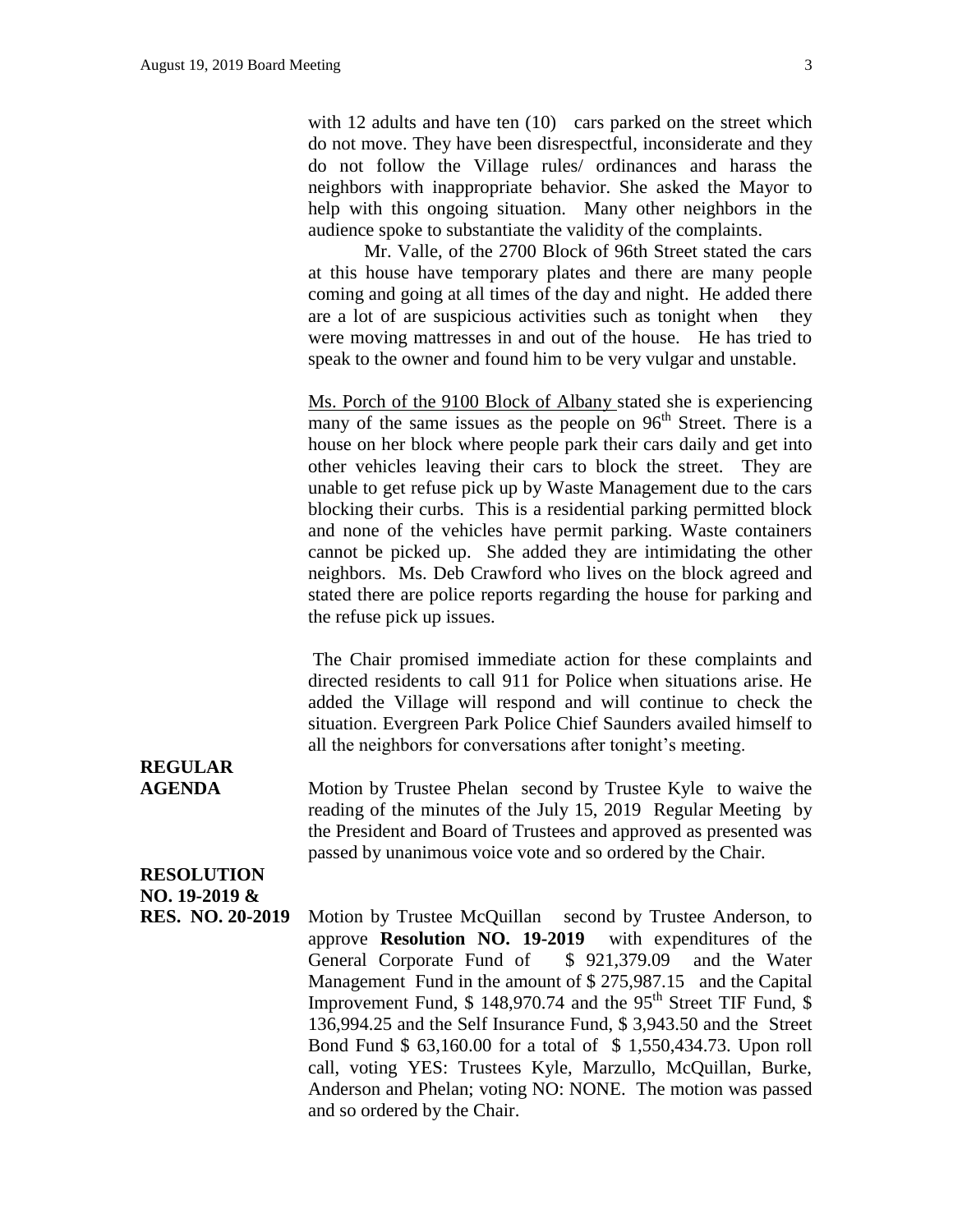with 12 adults and have ten (10) cars parked on the street which do not move. They have been disrespectful, inconsiderate and they do not follow the Village rules/ ordinances and harass the neighbors with inappropriate behavior. She asked the Mayor to help with this ongoing situation. Many other neighbors in the audience spoke to substantiate the validity of the complaints.

Mr. Valle, of the 2700 Block of 96th Street stated the cars at this house have temporary plates and there are many people coming and going at all times of the day and night. He added there are a lot of are suspicious activities such as tonight when they were moving mattresses in and out of the house. He has tried to speak to the owner and found him to be very vulgar and unstable.

Ms. Porch of the 9100 Block of Albany stated she is experiencing many of the same issues as the people on  $96<sup>th</sup>$  Street. There is a house on her block where people park their cars daily and get into other vehicles leaving their cars to block the street. They are unable to get refuse pick up by Waste Management due to the cars blocking their curbs. This is a residential parking permitted block and none of the vehicles have permit parking. Waste containers cannot be picked up. She added they are intimidating the other neighbors. Ms. Deb Crawford who lives on the block agreed and stated there are police reports regarding the house for parking and the refuse pick up issues.

The Chair promised immediate action for these complaints and directed residents to call 911 for Police when situations arise. He added the Village will respond and will continue to check the situation. Evergreen Park Police Chief Saunders availed himself to all the neighbors for conversations after tonight's meeting.

# **REGULAR**

**AGENDA** Motion by Trustee Phelan second by Trustee Kyle to waive the reading of the minutes of the July 15, 2019 Regular Meeting by the President and Board of Trustees and approved as presented was passed by unanimous voice vote and so ordered by the Chair.

**RESOLUTION NO. 19-2019 &**

**RES. NO. 20-2019** Motion by Trustee McQuillan second by Trustee Anderson, to approve **Resolution NO. 19-2019** with expenditures of the General Corporate Fund of \$ 921,379.09 and the Water Management Fund in the amount of \$ 275,987.15 and the Capital Improvement Fund,  $$148,970.74$  and the 95<sup>th</sup> Street TIF Fund,  $$$ 136,994.25 and the Self Insurance Fund, \$ 3,943.50 and the Street Bond Fund \$ 63,160.00 for a total of \$ 1,550,434.73. Upon roll call, voting YES: Trustees Kyle, Marzullo, McQuillan, Burke, Anderson and Phelan; voting NO: NONE. The motion was passed and so ordered by the Chair.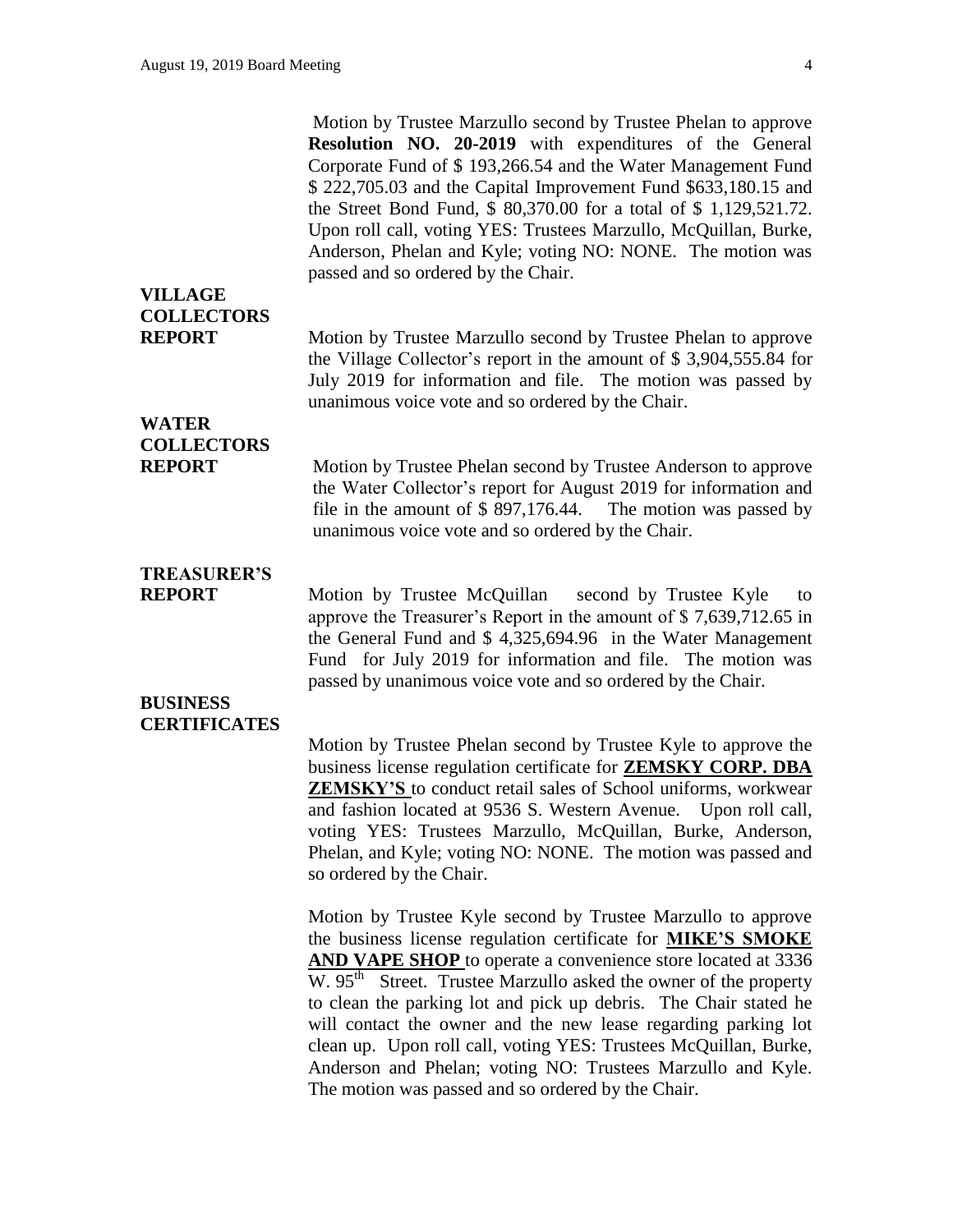## **VILLAGE COLLECTORS**

**REPORT** Motion by Trustee Marzullo second by Trustee Phelan to approve the Village Collector's report in the amount of \$ 3,904,555.84 for July 2019 for information and file. The motion was passed by unanimous voice vote and so ordered by the Chair.

## **WATER COLLECTORS**

**REPORT** Motion by Trustee Phelan second by Trustee Anderson to approve the Water Collector's report for August 2019 for information and file in the amount of \$ 897,176.44. The motion was passed by unanimous voice vote and so ordered by the Chair.

# **TREASURER'S**

**REPORT** Motion by Trustee McQuillan second by Trustee Kyle to approve the Treasurer's Report in the amount of \$ 7,639,712.65 in the General Fund and \$ 4,325,694.96 in the Water Management Fund for July 2019 for information and file. The motion was passed by unanimous voice vote and so ordered by the Chair.

#### **BUSINESS CERTIFICATES**

Motion by Trustee Phelan second by Trustee Kyle to approve the business license regulation certificate for **ZEMSKY CORP. DBA ZEMSKY'S** to conduct retail sales of School uniforms, workwear and fashion located at 9536 S. Western Avenue. Upon roll call, voting YES: Trustees Marzullo, McQuillan, Burke, Anderson, Phelan, and Kyle; voting NO: NONE. The motion was passed and so ordered by the Chair.

Motion by Trustee Kyle second by Trustee Marzullo to approve the business license regulation certificate for **MIKE'S SMOKE**  AND VAPE SHOP to operate a convenience store located at 3336 W. 95<sup>th</sup> Street. Trustee Marzullo asked the owner of the property to clean the parking lot and pick up debris. The Chair stated he will contact the owner and the new lease regarding parking lot clean up. Upon roll call, voting YES: Trustees McQuillan, Burke, Anderson and Phelan; voting NO: Trustees Marzullo and Kyle. The motion was passed and so ordered by the Chair.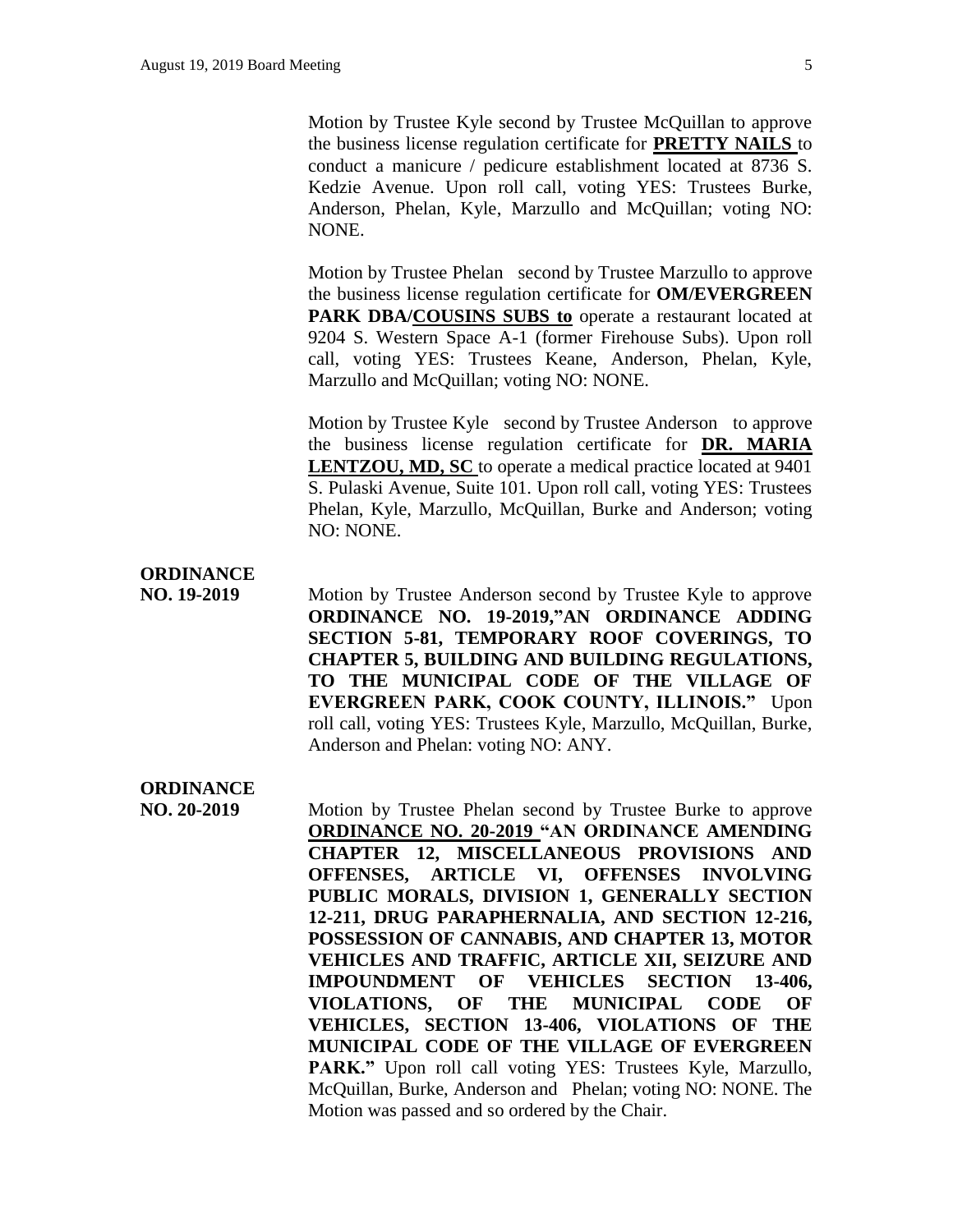Motion by Trustee Kyle second by Trustee McQuillan to approve the business license regulation certificate for **PRETTY NAILS** to conduct a manicure / pedicure establishment located at 8736 S. Kedzie Avenue. Upon roll call, voting YES: Trustees Burke, Anderson, Phelan, Kyle, Marzullo and McQuillan; voting NO: NONE.

Motion by Trustee Phelan second by Trustee Marzullo to approve the business license regulation certificate for **OM/EVERGREEN PARK DBA/COUSINS SUBS to** operate a restaurant located at 9204 S. Western Space A-1 (former Firehouse Subs). Upon roll call, voting YES: Trustees Keane, Anderson, Phelan, Kyle, Marzullo and McQuillan; voting NO: NONE.

Motion by Trustee Kyle second by Trustee Anderson to approve the business license regulation certificate for **DR. MARIA LENTZOU, MD, SC** to operate a medical practice located at 9401 S. Pulaski Avenue, Suite 101. Upon roll call, voting YES: Trustees Phelan, Kyle, Marzullo, McQuillan, Burke and Anderson; voting NO: NONE.

### **ORDINANCE**

**NO. 19-2019** Motion by Trustee Anderson second by Trustee Kyle to approve **ORDINANCE NO. 19-2019,"AN ORDINANCE ADDING SECTION 5-81, TEMPORARY ROOF COVERINGS, TO CHAPTER 5, BUILDING AND BUILDING REGULATIONS, TO THE MUNICIPAL CODE OF THE VILLAGE OF EVERGREEN PARK, COOK COUNTY, ILLINOIS."** Upon roll call, voting YES: Trustees Kyle, Marzullo, McQuillan, Burke, Anderson and Phelan: voting NO: ANY.

#### **ORDINANCE**

**NO. 20-2019** Motion by Trustee Phelan second by Trustee Burke to approve **ORDINANCE NO. 20-2019 "AN ORDINANCE AMENDING CHAPTER 12, MISCELLANEOUS PROVISIONS AND OFFENSES, ARTICLE VI, OFFENSES INVOLVING PUBLIC MORALS, DIVISION 1, GENERALLY SECTION 12-211, DRUG PARAPHERNALIA, AND SECTION 12-216, POSSESSION OF CANNABIS, AND CHAPTER 13, MOTOR VEHICLES AND TRAFFIC, ARTICLE XII, SEIZURE AND IMPOUNDMENT OF VEHICLES SECTION 13-406, VIOLATIONS, OF THE MUNICIPAL CODE OF VEHICLES, SECTION 13-406, VIOLATIONS OF THE MUNICIPAL CODE OF THE VILLAGE OF EVERGREEN PARK."** Upon roll call voting YES: Trustees Kyle, Marzullo, McQuillan, Burke, Anderson and Phelan; voting NO: NONE. The Motion was passed and so ordered by the Chair.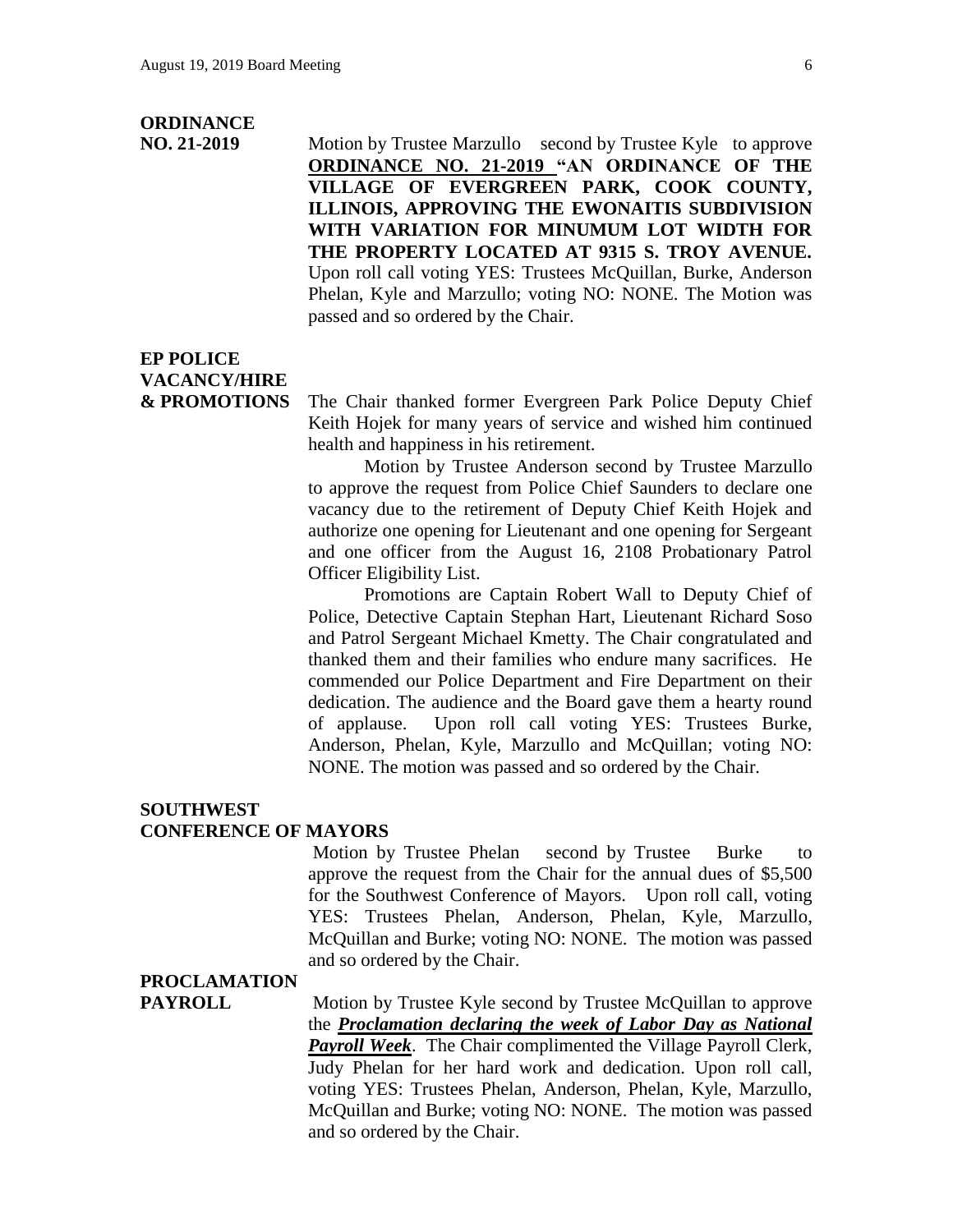### **ORDINANCE**

**NO. 21-2019** Motion by Trustee Marzullo second by Trustee Kyle to approve **ORDINANCE NO. 21-2019 "AN ORDINANCE OF THE VILLAGE OF EVERGREEN PARK, COOK COUNTY, ILLINOIS, APPROVING THE EWONAITIS SUBDIVISION WITH VARIATION FOR MINUMUM LOT WIDTH FOR THE PROPERTY LOCATED AT 9315 S. TROY AVENUE.**  Upon roll call voting YES: Trustees McQuillan, Burke, Anderson Phelan, Kyle and Marzullo; voting NO: NONE. The Motion was passed and so ordered by the Chair.

## **EP POLICE VACANCY/HIRE**

**& PROMOTIONS** The Chair thanked former Evergreen Park Police Deputy Chief Keith Hojek for many years of service and wished him continued health and happiness in his retirement.

> Motion by Trustee Anderson second by Trustee Marzullo to approve the request from Police Chief Saunders to declare one vacancy due to the retirement of Deputy Chief Keith Hojek and authorize one opening for Lieutenant and one opening for Sergeant and one officer from the August 16, 2108 Probationary Patrol Officer Eligibility List.

> Promotions are Captain Robert Wall to Deputy Chief of Police, Detective Captain Stephan Hart, Lieutenant Richard Soso and Patrol Sergeant Michael Kmetty. The Chair congratulated and thanked them and their families who endure many sacrifices. He commended our Police Department and Fire Department on their dedication. The audience and the Board gave them a hearty round of applause. Upon roll call voting YES: Trustees Burke, Anderson, Phelan, Kyle, Marzullo and McQuillan; voting NO: NONE. The motion was passed and so ordered by the Chair.

#### **SOUTHWEST CONFERENCE OF MAYORS**

Motion by Trustee Phelan second by Trustee Burke to approve the request from the Chair for the annual dues of \$5,500 for the Southwest Conference of Mayors. Upon roll call, voting YES: Trustees Phelan, Anderson, Phelan, Kyle, Marzullo, McQuillan and Burke; voting NO: NONE. The motion was passed and so ordered by the Chair.

#### **PROCLAMATION**

**PAYROLL** Motion by Trustee Kyle second by Trustee McQuillan to approve the *Proclamation declaring the week of Labor Day as National Payroll Week*. The Chair complimented the Village Payroll Clerk, Judy Phelan for her hard work and dedication. Upon roll call, voting YES: Trustees Phelan, Anderson, Phelan, Kyle, Marzullo, McQuillan and Burke; voting NO: NONE. The motion was passed and so ordered by the Chair.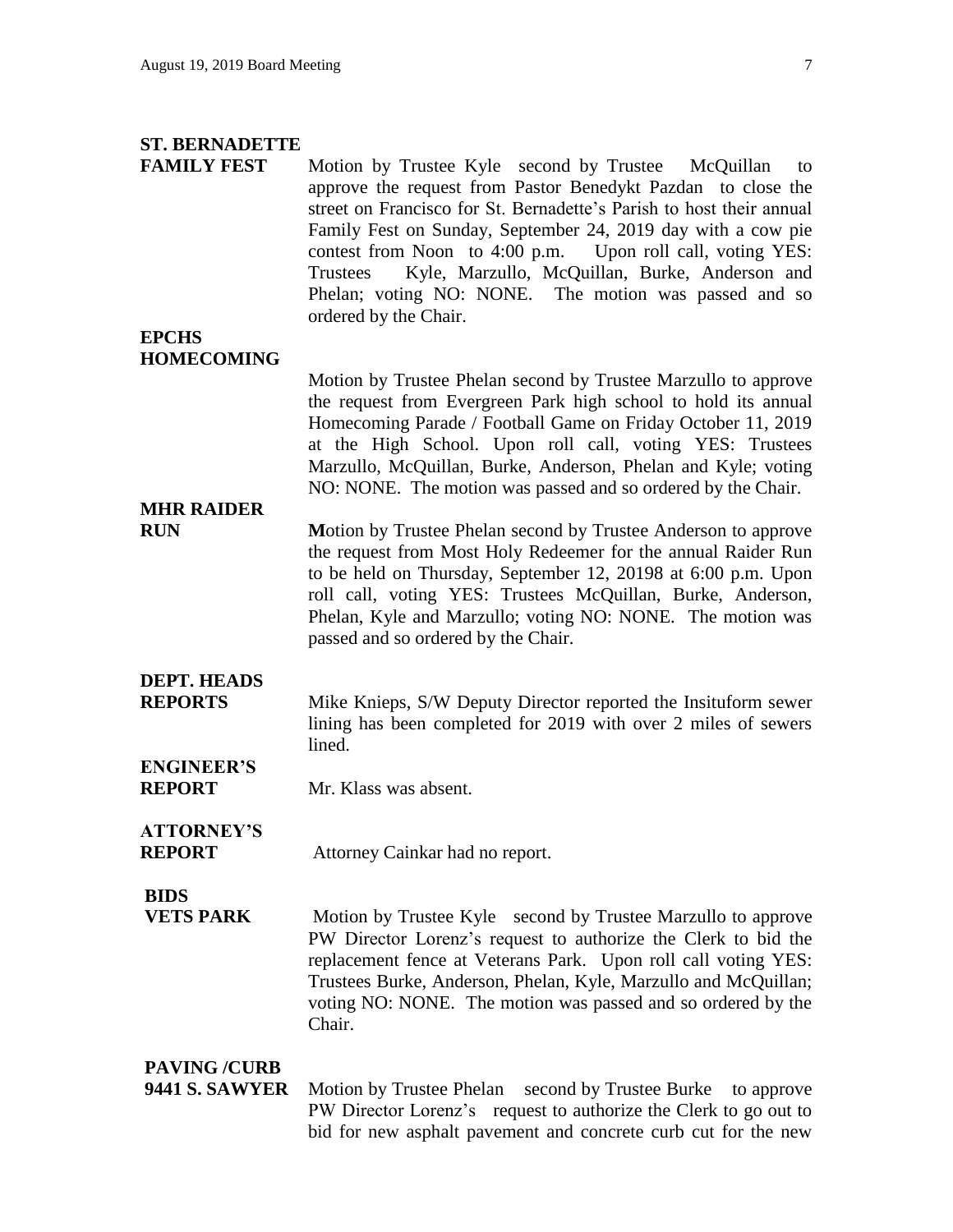#### **ST. BERNADETTE**

**FAMILY FEST** Motion by Trustee Kyle second by Trustee McQuillan to approve the request from Pastor Benedykt Pazdan to close the street on Francisco for St. Bernadette's Parish to host their annual Family Fest on Sunday, September 24, 2019 day with a cow pie contest from Noon to 4:00 p.m. Upon roll call, voting YES: Trustees Kyle, Marzullo, McQuillan, Burke, Anderson and Phelan; voting NO: NONE. The motion was passed and so ordered by the Chair.

#### **EPCHS HOMECOMING**

Motion by Trustee Phelan second by Trustee Marzullo to approve the request from Evergreen Park high school to hold its annual Homecoming Parade / Football Game on Friday October 11, 2019 at the High School. Upon roll call, voting YES: Trustees Marzullo, McQuillan, Burke, Anderson, Phelan and Kyle; voting NO: NONE. The motion was passed and so ordered by the Chair.

# **MHR RAIDER**

**RUN Motion by Trustee Phelan second by Trustee Anderson to approve** the request from Most Holy Redeemer for the annual Raider Run to be held on Thursday, September 12, 20198 at 6:00 p.m. Upon roll call, voting YES: Trustees McQuillan, Burke, Anderson, Phelan, Kyle and Marzullo; voting NO: NONE. The motion was passed and so ordered by the Chair.

#### **DEPT. HEADS**

**REPORTS** Mike Knieps, S/W Deputy Director reported the Insituform sewer lining has been completed for 2019 with over 2 miles of sewers lined.

#### **REPORT** Mr. Klass was absent.

## **ATTORNEY'S**

**ENGINEER'S**

**REPORT** Attorney Cainkar had no report.

#### **BIDS**

**VETS PARK** Motion by Trustee Kyle second by Trustee Marzullo to approve PW Director Lorenz's request to authorize the Clerk to bid the replacement fence at Veterans Park. Upon roll call voting YES: Trustees Burke, Anderson, Phelan, Kyle, Marzullo and McQuillan; voting NO: NONE. The motion was passed and so ordered by the Chair.

#### **PAVING /CURB**

**9441 S. SAWYER** Motion by Trustee Phelan second by Trustee Burke to approve PW Director Lorenz's request to authorize the Clerk to go out to bid for new asphalt pavement and concrete curb cut for the new